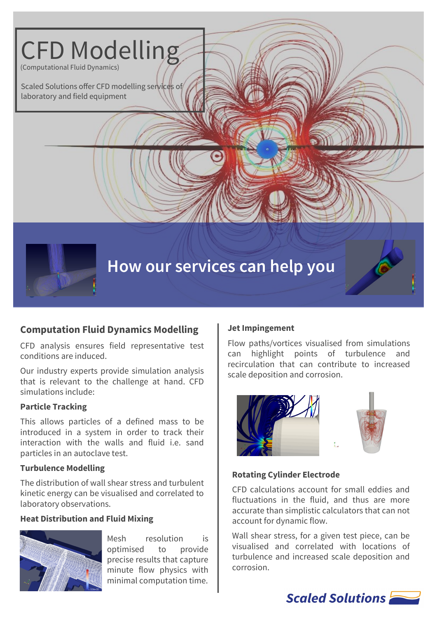

# **Computation Fluid Dynamics Modelling**

CFD analysis ensures field representative test conditions are induced.

Our industry experts provide simulation analysis that is relevant to the challenge at hand. CFD simulations include:

### **Particle Tracking**

This allows particles of a defined mass to be introduced in a system in order to track their interaction with the walls and fluid i.e. sand particles in an autoclave test.

### **Turbulence Modelling**

The distribution of wall shear stress and turbulent kinetic energy can be visualised and correlated to laboratory observations.

### **Heat Distribution and Fluid Mixing**



Mesh resolution is optimised to provide precise results that capture minute flow physics with minimal computation time.

### **Jet Impingement**

Flow paths/vortices visualised from simulations can highlight points of turbulence and recirculation that can contribute to increased scale deposition and corrosion.





### **Rotating Cylinder Electrode**

CFD calculations account for small eddies and fluctuations in the fluid, and thus are more accurate than simplistic calculators that can not account for dynamic flow.

Wall shear stress, for a given test piece, can be visualised and correlated with locations of turbulence and increased scale deposition and corrosion.